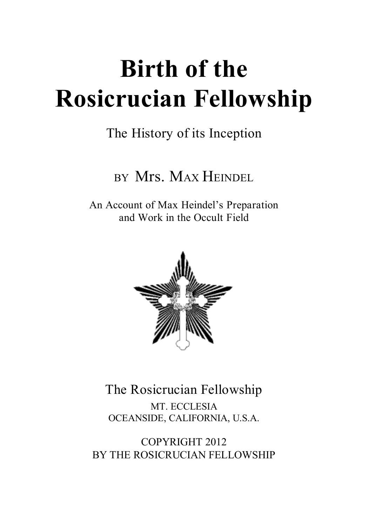# **Birth of the Rosicrucian Fellowship**

# The History of its Inception

# BY Mrs. MAX HEINDEL

An Account of Max Heindel's Preparation and Work in the Occult Field



The Rosicrucian Fellowship MT. ECCLESIA OCEANSIDE, CALIFORNIA, U.S.A.

COPYRIGHT 2012 BY THE ROSICRUCIAN FELLOWSHIP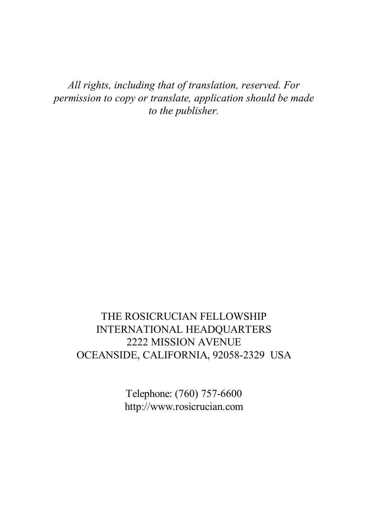*All rights, including that of translation, reserved. For permission to copy or translate, application should be made to the publisher.*

## THE ROSICRUCIAN FELLOWSHIP INTERNATIONAL HEADQUARTERS 2222 MISSION AVENUE OCEANSIDE, CALIFORNIA, 92058-2329 USA

Telephone: (760) 757-6600 http://www.rosicrucian.com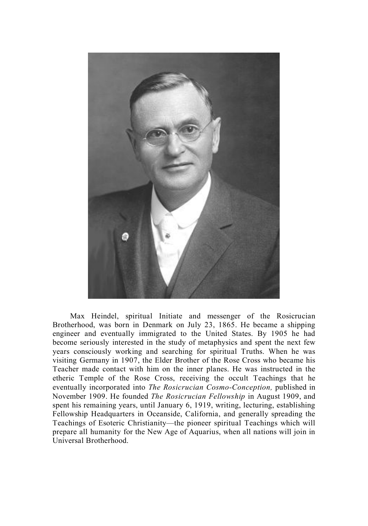

Max Heindel, spiritual Initiate and messenger of the Rosicrucian Brotherhood, was born in Denmark on July 23, 1865. He became a shipping engineer and eventually immigrated to the United States. By 1905 he had become seriously interested in the study of metaphysics and spent the next few years consciously working and searching for spiritual Truths. When he was visiting Germany in 1907, the Elder Brother of the Rose Cross who became his Teacher made contact with him on the inner planes. He was instructed in the etheric Temple of the Rose Cross, receiving the occult Teachings that he eventually incorporated into *The Rosicrucian Cosmo-Conception,* published in November 1909. He founded *The Rosicrucian Fellowship* in August 1909, and spent his remaining years, until January 6, 1919, writing, lecturing, establishing Fellowship Headquarters in Oceanside, California, and generally spreading the Teachings of Esoteric Christianity—the pioneer spiritual Teachings which will prepare all humanity for the New Age of Aquarius, when all nations will join in Universal Brotherhood.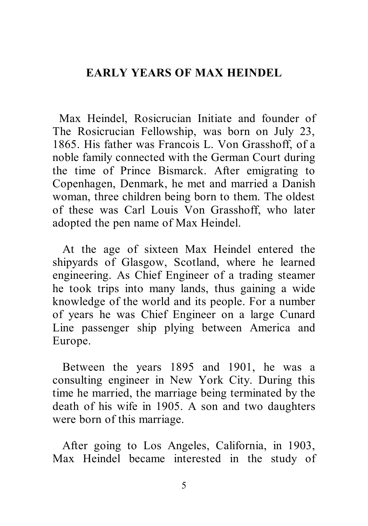## **EARLY YEARS OF MAX HEINDEL**

 Max Heindel, Rosicrucian Initiate and founder of The Rosicrucian Fellowship, was born on July 23, 1865. His father was Francois L. Von Grasshoff, of a noble family connected with the German Court during the time of Prince Bismarck. After emigrating to Copenhagen, Denmark, he met and married a Danish woman, three children being born to them. The oldest of these was Carl Louis Von Grasshoff, who later adopted the pen name of Max Heindel.

 At the age of sixteen Max Heindel entered the shipyards of Glasgow, Scotland, where he learned engineering. As Chief Engineer of a trading steamer he took trips into many lands, thus gaining a wide knowledge of the world and its people. For a number of years he was Chief Engineer on a large Cunard Line passenger ship plying between America and Europe.

 Between the years 1895 and 1901, he was a consulting engineer in New York City. During this time he married, the marriage being terminated by the death of his wife in 1905. A son and two daughters were born of this marriage.

 After going to Los Angeles, California, in 1903, Max Heindel became interested in the study of

5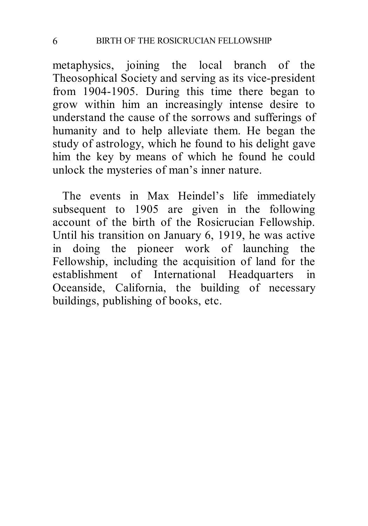metaphysics, joining the local branch of the Theosophical Society and serving as its vice-president from 1904-1905. During this time there began to grow within him an increasingly intense desire to understand the cause of the sorrows and sufferings of humanity and to help alleviate them. He began the study of astrology, which he found to his delight gave him the key by means of which he found he could unlock the mysteries of man's inner nature.

 The events in Max Heindel's life immediately subsequent to 1905 are given in the following account of the birth of the Rosicrucian Fellowship. Until his transition on January 6, 1919, he was active in doing the pioneer work of launching the Fellowship, including the acquisition of land for the establishment of International Headquarters in Oceanside, California, the building of necessary buildings, publishing of books, etc.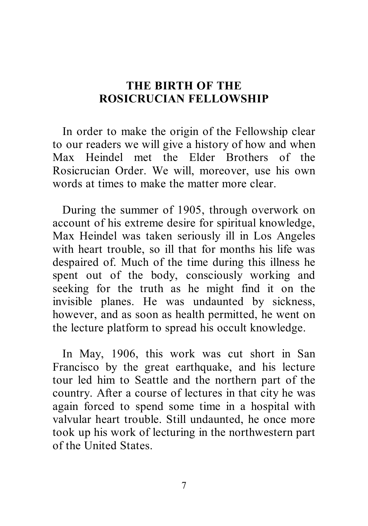## **THE BIRTH OF THE ROSICRUCIAN FELLOWSHIP**

 In order to make the origin of the Fellowship clear to our readers we will give a history of how and when Max Heindel met the Elder Brothers of the Rosicrucian Order. We will, moreover, use his own words at times to make the matter more clear.

 During the summer of 1905, through overwork on account of his extreme desire for spiritual knowledge, Max Heindel was taken seriously ill in Los Angeles with heart trouble, so ill that for months his life was despaired of. Much of the time during this illness he spent out of the body, consciously working and seeking for the truth as he might find it on the invisible planes. He was undaunted by sickness, however, and as soon as health permitted, he went on the lecture platform to spread his occult knowledge.

 In May, 1906, this work was cut short in San Francisco by the great earthquake, and his lecture tour led him to Seattle and the northern part of the country. After a course of lectures in that city he was again forced to spend some time in a hospital with valvular heart trouble. Still undaunted, he once more took up his work of lecturing in the northwestern part of the United States.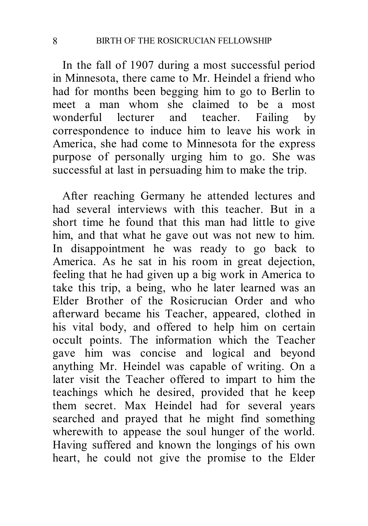In the fall of 1907 during a most successful period in Minnesota, there came to Mr. Heindel a friend who had for months been begging him to go to Berlin to meet a man whom she claimed to be a most wonderful lecturer and teacher. Failing by correspondence to induce him to leave his work in America, she had come to Minnesota for the express purpose of personally urging him to go. She was successful at last in persuading him to make the trip.

 After reaching Germany he attended lectures and had several interviews with this teacher. But in a short time he found that this man had little to give him, and that what he gave out was not new to him. In disappointment he was ready to go back to America. As he sat in his room in great dejection, feeling that he had given up a big work in America to take this trip, a being, who he later learned was an Elder Brother of the Rosicrucian Order and who afterward became his Teacher, appeared, clothed in his vital body, and offered to help him on certain occult points. The information which the Teacher gave him was concise and logical and beyond anything Mr. Heindel was capable of writing. On a later visit the Teacher offered to impart to him the teachings which he desired, provided that he keep them secret. Max Heindel had for several years searched and prayed that he might find something wherewith to appease the soul hunger of the world. Having suffered and known the longings of his own heart, he could not give the promise to the Elder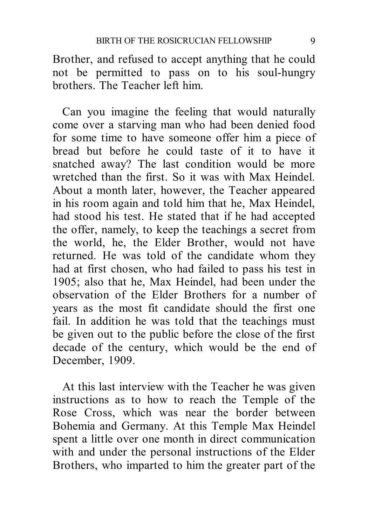Brother, and refused to accept anything that he could not be permitted to pass on to his soul-hungry brothers. The Teacher left him.

 Can you imagine the feeling that would naturally come over a starving man who had been denied food for some time to have someone offer him a piece of bread but before he could taste of it to have it snatched away? The last condition would be more wretched than the first. So it was with Max Heindel. About a month later, however, the Teacher appeared in his room again and told him that he, Max Heindel, had stood his test. He stated that if he had accepted the offer, namely, to keep the teachings a secret from the world, he, the Elder Brother, would not have returned. He was told of the candidate whom they had at first chosen, who had failed to pass his test in 1905; also that he, Max Heindel, had been under the observation of the Elder Brothers for a number of years as the most fit candidate should the first one fail. In addition he was told that the teachings must be given out to the public before the close of the first decade of the century, which would be the end of December, 1909.

 At this last interview with the Teacher he was given instructions as to how to reach the Temple of the Rose Cross, which was near the border between Bohemia and Germany. At this Temple Max Heindel spent a little over one month in direct communication with and under the personal instructions of the Elder Brothers, who imparted to him the greater part of the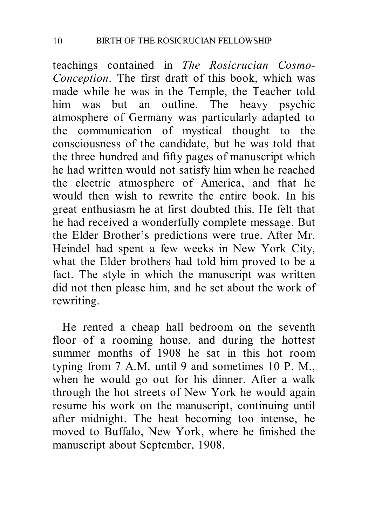teachings contained in *The Rosicrucian Cosmo-Conception*. The first draft of this book, which was made while he was in the Temple, the Teacher told him was but an outline. The heavy psychic atmosphere of Germany was particularly adapted to the communication of mystical thought to the consciousness of the candidate, but he was told that the three hundred and fifty pages of manuscript which he had written would not satisfy him when he reached the electric atmosphere of America, and that he would then wish to rewrite the entire book. In his great enthusiasm he at first doubted this. He felt that he had received a wonderfully complete message. But the Elder Brother's predictions were true. After Mr. Heindel had spent a few weeks in New York City, what the Elder brothers had told him proved to be a fact. The style in which the manuscript was written did not then please him, and he set about the work of rewriting.

 He rented a cheap hall bedroom on the seventh floor of a rooming house, and during the hottest summer months of 1908 he sat in this hot room typing from 7 A.M. until 9 and sometimes 10 P. M., when he would go out for his dinner. After a walk through the hot streets of New York he would again resume his work on the manuscript, continuing until after midnight. The heat becoming too intense, he moved to Buffalo, New York, where he finished the manuscript about September, 1908.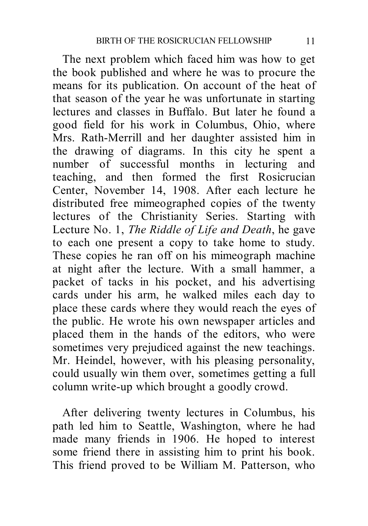The next problem which faced him was how to get the book published and where he was to procure the means for its publication. On account of the heat of that season of the year he was unfortunate in starting lectures and classes in Buffalo. But later he found a good field for his work in Columbus, Ohio, where Mrs. Rath-Merrill and her daughter assisted him in the drawing of diagrams. In this city he spent a number of successful months in lecturing and teaching, and then formed the first Rosicrucian Center, November 14, 1908. After each lecture he distributed free mimeographed copies of the twenty lectures of the Christianity Series. Starting with Lecture No. 1, *The Riddle of Life and Death*, he gave to each one present a copy to take home to study. These copies he ran off on his mimeograph machine at night after the lecture. With a small hammer, a packet of tacks in his pocket, and his advertising cards under his arm, he walked miles each day to place these cards where they would reach the eyes of the public. He wrote his own newspaper articles and placed them in the hands of the editors, who were sometimes very prejudiced against the new teachings. Mr. Heindel, however, with his pleasing personality, could usually win them over, sometimes getting a full column write-up which brought a goodly crowd.

 After delivering twenty lectures in Columbus, his path led him to Seattle, Washington, where he had made many friends in 1906. He hoped to interest some friend there in assisting him to print his book. This friend proved to be William M. Patterson, who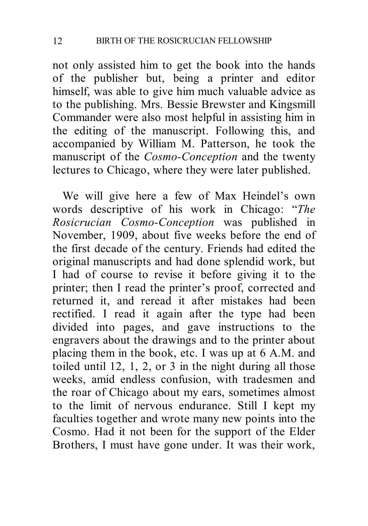not only assisted him to get the book into the hands of the publisher but, being a printer and editor himself, was able to give him much valuable advice as to the publishing. Mrs. Bessie Brewster and Kingsmill Commander were also most helpful in assisting him in the editing of the manuscript. Following this, and accompanied by William M. Patterson, he took the manuscript of the *Cosmo-Conception* and the twenty lectures to Chicago, where they were later published.

 We will give here a few of Max Heindel's own words descriptive of his work in Chicago: "*The Rosicrucian Cosmo-Conception* was published in November, 1909, about five weeks before the end of the first decade of the century. Friends had edited the original manuscripts and had done splendid work, but I had of course to revise it before giving it to the printer; then I read the printer's proof, corrected and returned it, and reread it after mistakes had been rectified. I read it again after the type had been divided into pages, and gave instructions to the engravers about the drawings and to the printer about placing them in the book, etc. I was up at 6 A.M. and toiled until 12, 1, 2, or 3 in the night during all those weeks, amid endless confusion, with tradesmen and the roar of Chicago about my ears, sometimes almost to the limit of nervous endurance. Still I kept my faculties together and wrote many new points into the Cosmo. Had it not been for the support of the Elder Brothers, I must have gone under. It was their work,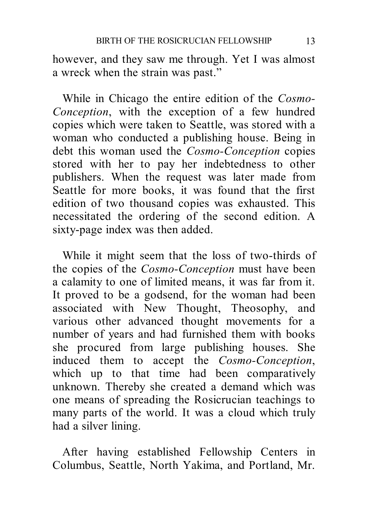however, and they saw me through. Yet I was almost a wreck when the strain was past."

 While in Chicago the entire edition of the *Cosmo-Conception*, with the exception of a few hundred copies which were taken to Seattle, was stored with a woman who conducted a publishing house. Being in debt this woman used the *Cosmo-Conception* copies stored with her to pay her indebtedness to other publishers. When the request was later made from Seattle for more books, it was found that the first edition of two thousand copies was exhausted. This necessitated the ordering of the second edition. A sixty-page index was then added.

 While it might seem that the loss of two-thirds of the copies of the *Cosmo-Conception* must have been a calamity to one of limited means, it was far from it. It proved to be a godsend, for the woman had been associated with New Thought, Theosophy, and various other advanced thought movements for a number of years and had furnished them with books she procured from large publishing houses. She induced them to accept the *Cosmo-Conception*, which up to that time had been comparatively unknown. Thereby she created a demand which was one means of spreading the Rosicrucian teachings to many parts of the world. It was a cloud which truly had a silver lining.

 After having established Fellowship Centers in Columbus, Seattle, North Yakima, and Portland, Mr.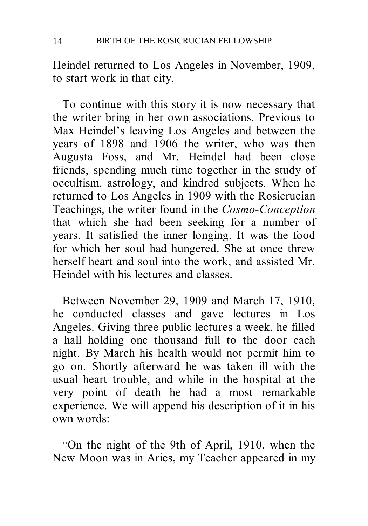Heindel returned to Los Angeles in November, 1909, to start work in that city.

 To continue with this story it is now necessary that the writer bring in her own associations. Previous to Max Heindel's leaving Los Angeles and between the years of 1898 and 1906 the writer, who was then Augusta Foss, and Mr. Heindel had been close friends, spending much time together in the study of occultism, astrology, and kindred subjects. When he returned to Los Angeles in 1909 with the Rosicrucian Teachings, the writer found in the *Cosmo-Conception* that which she had been seeking for a number of years. It satisfied the inner longing. It was the food for which her soul had hungered. She at once threw herself heart and soul into the work, and assisted Mr. Heindel with his lectures and classes.

 Between November 29, 1909 and March 17, 1910, he conducted classes and gave lectures in Los Angeles. Giving three public lectures a week, he filled a hall holding one thousand full to the door each night. By March his health would not permit him to go on. Shortly afterward he was taken ill with the usual heart trouble, and while in the hospital at the very point of death he had a most remarkable experience. We will append his description of it in his own words:

 "On the night of the 9th of April, 1910, when the New Moon was in Aries, my Teacher appeared in my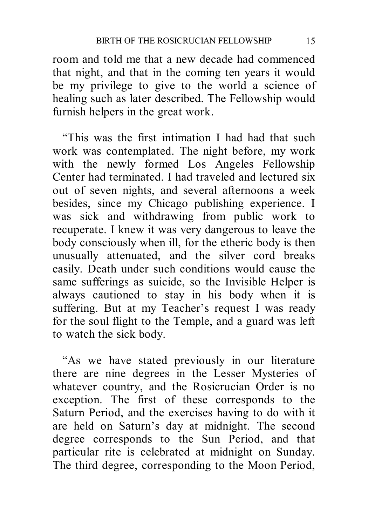room and told me that a new decade had commenced that night, and that in the coming ten years it would be my privilege to give to the world a science of healing such as later described. The Fellowship would furnish helpers in the great work.

 "This was the first intimation I had had that such work was contemplated. The night before, my work with the newly formed Los Angeles Fellowship Center had terminated. I had traveled and lectured six out of seven nights, and several afternoons a week besides, since my Chicago publishing experience. I was sick and withdrawing from public work to recuperate. I knew it was very dangerous to leave the body consciously when ill, for the etheric body is then unusually attenuated, and the silver cord breaks easily. Death under such conditions would cause the same sufferings as suicide, so the Invisible Helper is always cautioned to stay in his body when it is suffering. But at my Teacher's request I was ready for the soul flight to the Temple, and a guard was left to watch the sick body.

 "As we have stated previously in our literature there are nine degrees in the Lesser Mysteries of whatever country, and the Rosicrucian Order is no exception. The first of these corresponds to the Saturn Period, and the exercises having to do with it are held on Saturn's day at midnight. The second degree corresponds to the Sun Period, and that particular rite is celebrated at midnight on Sunday. The third degree, corresponding to the Moon Period,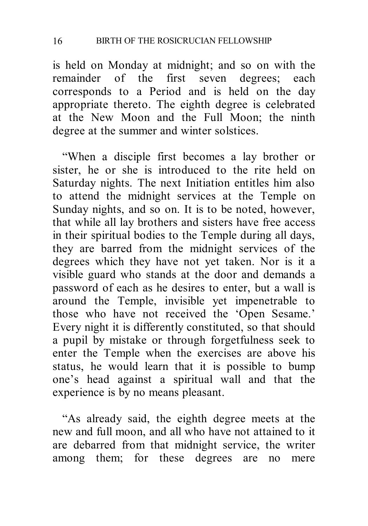is held on Monday at midnight; and so on with the remainder of the first seven degrees; each corresponds to a Period and is held on the day appropriate thereto. The eighth degree is celebrated at the New Moon and the Full Moon; the ninth degree at the summer and winter solstices.

 "When a disciple first becomes a lay brother or sister, he or she is introduced to the rite held on Saturday nights. The next Initiation entitles him also to attend the midnight services at the Temple on Sunday nights, and so on. It is to be noted, however, that while all lay brothers and sisters have free access in their spiritual bodies to the Temple during all days, they are barred from the midnight services of the degrees which they have not yet taken. Nor is it a visible guard who stands at the door and demands a password of each as he desires to enter, but a wall is around the Temple, invisible yet impenetrable to those who have not received the 'Open Sesame.' Every night it is differently constituted, so that should a pupil by mistake or through forgetfulness seek to enter the Temple when the exercises are above his status, he would learn that it is possible to bump one's head against a spiritual wall and that the experience is by no means pleasant.

 "As already said, the eighth degree meets at the new and full moon, and all who have not attained to it are debarred from that midnight service, the writer among them; for these degrees are no mere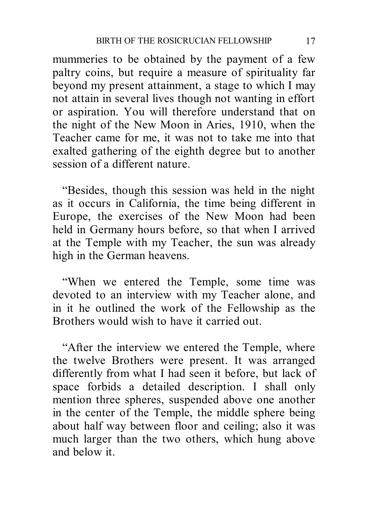mummeries to be obtained by the payment of a few paltry coins, but require a measure of spirituality far beyond my present attainment, a stage to which I may not attain in several lives though not wanting in effort or aspiration. You will therefore understand that on the night of the New Moon in Aries, 1910, when the Teacher came for me, it was not to take me into that exalted gathering of the eighth degree but to another session of a different nature.

 "Besides, though this session was held in the night as it occurs in California, the time being different in Europe, the exercises of the New Moon had been held in Germany hours before, so that when I arrived at the Temple with my Teacher, the sun was already high in the German heavens.

 "When we entered the Temple, some time was devoted to an interview with my Teacher alone, and in it he outlined the work of the Fellowship as the Brothers would wish to have it carried out.

 "After the interview we entered the Temple, where the twelve Brothers were present. It was arranged differently from what I had seen it before, but lack of space forbids a detailed description. I shall only mention three spheres, suspended above one another in the center of the Temple, the middle sphere being about half way between floor and ceiling; also it was much larger than the two others, which hung above and below it.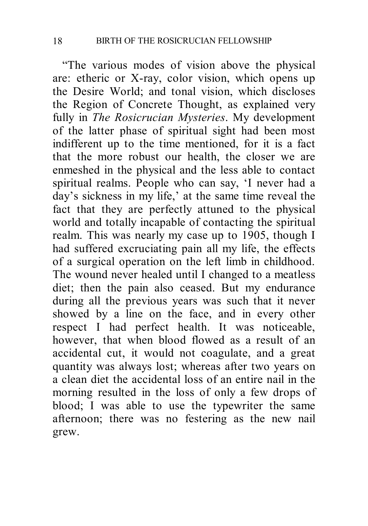"The various modes of vision above the physical are: etheric or X-ray, color vision, which opens up the Desire World; and tonal vision, which discloses the Region of Concrete Thought, as explained very fully in *The Rosicrucian Mysteries*. My development of the latter phase of spiritual sight had been most indifferent up to the time mentioned, for it is a fact that the more robust our health, the closer we are enmeshed in the physical and the less able to contact spiritual realms. People who can say, 'I never had a day's sickness in my life,' at the same time reveal the fact that they are perfectly attuned to the physical world and totally incapable of contacting the spiritual realm. This was nearly my case up to 1905, though I had suffered excruciating pain all my life, the effects of a surgical operation on the left limb in childhood. The wound never healed until I changed to a meatless diet; then the pain also ceased. But my endurance during all the previous years was such that it never showed by a line on the face, and in every other respect I had perfect health. It was noticeable, however, that when blood flowed as a result of an accidental cut, it would not coagulate, and a great quantity was always lost; whereas after two years on a clean diet the accidental loss of an entire nail in the morning resulted in the loss of only a few drops of blood; I was able to use the typewriter the same afternoon; there was no festering as the new nail grew.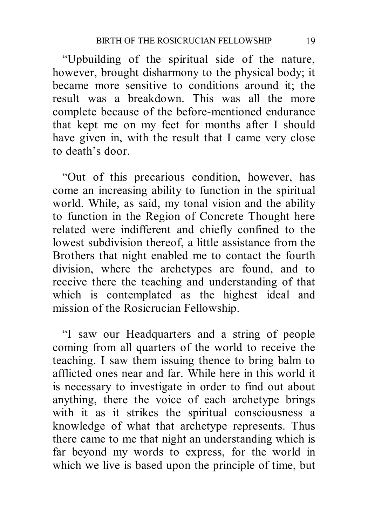"Upbuilding of the spiritual side of the nature, however, brought disharmony to the physical body; it became more sensitive to conditions around it; the result was a breakdown. This was all the more complete because of the before-mentioned endurance that kept me on my feet for months after I should have given in, with the result that I came very close to death's door.

 "Out of this precarious condition, however, has come an increasing ability to function in the spiritual world. While, as said, my tonal vision and the ability to function in the Region of Concrete Thought here related were indifferent and chiefly confined to the lowest subdivision thereof, a little assistance from the Brothers that night enabled me to contact the fourth division, where the archetypes are found, and to receive there the teaching and understanding of that which is contemplated as the highest ideal and mission of the Rosicrucian Fellowship.

 "I saw our Headquarters and a string of people coming from all quarters of the world to receive the teaching. I saw them issuing thence to bring balm to afflicted ones near and far. While here in this world it is necessary to investigate in order to find out about anything, there the voice of each archetype brings with it as it strikes the spiritual consciousness a knowledge of what that archetype represents. Thus there came to me that night an understanding which is far beyond my words to express, for the world in which we live is based upon the principle of time, but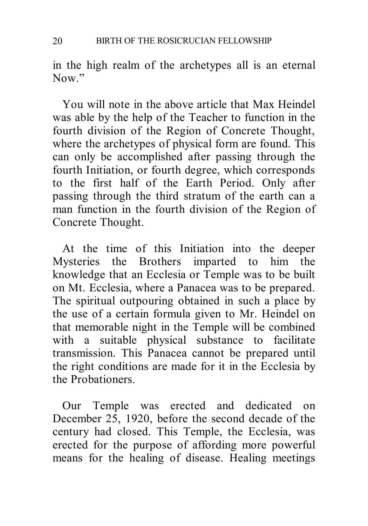in the high realm of the archetypes all is an eternal Now"

 You will note in the above article that Max Heindel was able by the help of the Teacher to function in the fourth division of the Region of Concrete Thought, where the archetypes of physical form are found. This can only be accomplished after passing through the fourth Initiation, or fourth degree, which corresponds to the first half of the Earth Period. Only after passing through the third stratum of the earth can a man function in the fourth division of the Region of Concrete Thought.

 At the time of this Initiation into the deeper Mysteries the Brothers imparted to him the knowledge that an Ecclesia or Temple was to be built on Mt. Ecclesia, where a Panacea was to be prepared. The spiritual outpouring obtained in such a place by the use of a certain formula given to Mr. Heindel on that memorable night in the Temple will be combined with a suitable physical substance to facilitate transmission. This Panacea cannot be prepared until the right conditions are made for it in the Ecclesia by the Probationers.

 Our Temple was erected and dedicated on December 25, 1920, before the second decade of the century had closed. This Temple, the Ecclesia, was erected for the purpose of affording more powerful means for the healing of disease. Healing meetings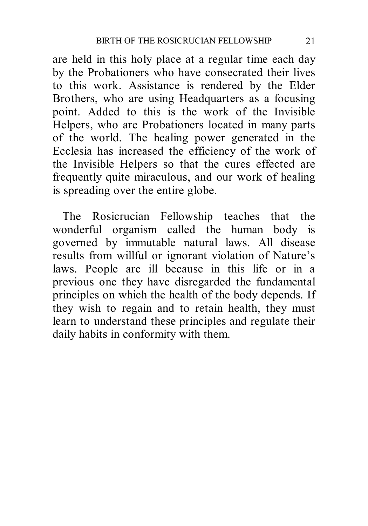are held in this holy place at a regular time each day by the Probationers who have consecrated their lives to this work. Assistance is rendered by the Elder Brothers, who are using Headquarters as a focusing point. Added to this is the work of the Invisible Helpers, who are Probationers located in many parts of the world. The healing power generated in the Ecclesia has increased the efficiency of the work of the Invisible Helpers so that the cures effected are frequently quite miraculous, and our work of healing is spreading over the entire globe.

 The Rosicrucian Fellowship teaches that the wonderful organism called the human body is governed by immutable natural laws. All disease results from willful or ignorant violation of Nature's laws. People are ill because in this life or in a previous one they have disregarded the fundamental principles on which the health of the body depends. If they wish to regain and to retain health, they must learn to understand these principles and regulate their daily habits in conformity with them.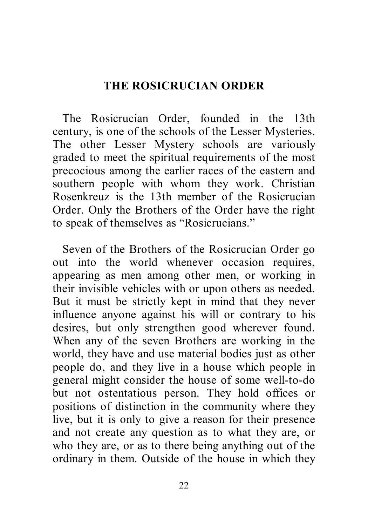## **THE ROSICRUCIAN ORDER**

 The Rosicrucian Order, founded in the 13th century, is one of the schools of the Lesser Mysteries. The other Lesser Mystery schools are variously graded to meet the spiritual requirements of the most precocious among the earlier races of the eastern and southern people with whom they work. Christian Rosenkreuz is the 13th member of the Rosicrucian Order. Only the Brothers of the Order have the right to speak of themselves as "Rosicrucians."

 Seven of the Brothers of the Rosicrucian Order go out into the world whenever occasion requires, appearing as men among other men, or working in their invisible vehicles with or upon others as needed. But it must be strictly kept in mind that they never influence anyone against his will or contrary to his desires, but only strengthen good wherever found. When any of the seven Brothers are working in the world, they have and use material bodies just as other people do, and they live in a house which people in general might consider the house of some well-to-do but not ostentatious person. They hold offices or positions of distinction in the community where they live, but it is only to give a reason for their presence and not create any question as to what they are, or who they are, or as to there being anything out of the ordinary in them. Outside of the house in which they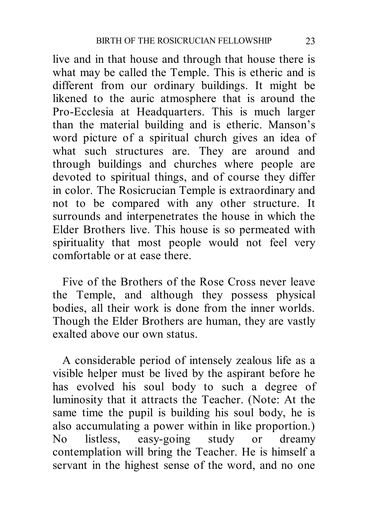live and in that house and through that house there is what may be called the Temple. This is etheric and is different from our ordinary buildings. It might be likened to the auric atmosphere that is around the Pro-Ecclesia at Headquarters. This is much larger than the material building and is etheric. Manson's word picture of a spiritual church gives an idea of what such structures are. They are around and through buildings and churches where people are devoted to spiritual things, and of course they differ in color. The Rosicrucian Temple is extraordinary and not to be compared with any other structure. It surrounds and interpenetrates the house in which the Elder Brothers live. This house is so permeated with spirituality that most people would not feel very comfortable or at ease there.

 Five of the Brothers of the Rose Cross never leave the Temple, and although they possess physical bodies, all their work is done from the inner worlds. Though the Elder Brothers are human, they are vastly exalted above our own status.

 A considerable period of intensely zealous life as a visible helper must be lived by the aspirant before he has evolved his soul body to such a degree of luminosity that it attracts the Teacher. (Note: At the same time the pupil is building his soul body, he is also accumulating a power within in like proportion.) No listless, easy-going study or dreamy contemplation will bring the Teacher. He is himself a servant in the highest sense of the word, and no one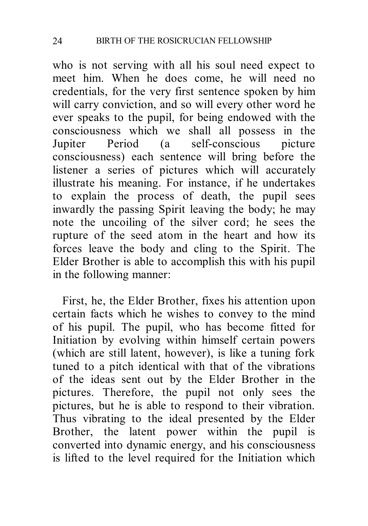who is not serving with all his soul need expect to meet him. When he does come, he will need no credentials, for the very first sentence spoken by him will carry conviction, and so will every other word he ever speaks to the pupil, for being endowed with the consciousness which we shall all possess in the Jupiter Period (a self-conscious picture consciousness) each sentence will bring before the listener a series of pictures which will accurately illustrate his meaning. For instance, if he undertakes to explain the process of death, the pupil sees inwardly the passing Spirit leaving the body; he may note the uncoiling of the silver cord; he sees the rupture of the seed atom in the heart and how its forces leave the body and cling to the Spirit. The Elder Brother is able to accomplish this with his pupil in the following manner:

 First, he, the Elder Brother, fixes his attention upon certain facts which he wishes to convey to the mind of his pupil. The pupil, who has become fitted for Initiation by evolving within himself certain powers (which are still latent, however), is like a tuning fork tuned to a pitch identical with that of the vibrations of the ideas sent out by the Elder Brother in the pictures. Therefore, the pupil not only sees the pictures, but he is able to respond to their vibration. Thus vibrating to the ideal presented by the Elder Brother, the latent power within the pupil is converted into dynamic energy, and his consciousness is lifted to the level required for the Initiation which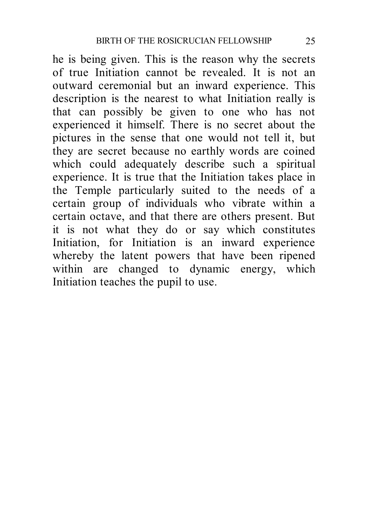he is being given. This is the reason why the secrets of true Initiation cannot be revealed. It is not an outward ceremonial but an inward experience. This description is the nearest to what Initiation really is that can possibly be given to one who has not experienced it himself. There is no secret about the pictures in the sense that one would not tell it, but they are secret because no earthly words are coined which could adequately describe such a spiritual experience. It is true that the Initiation takes place in the Temple particularly suited to the needs of a certain group of individuals who vibrate within a certain octave, and that there are others present. But it is not what they do or say which constitutes Initiation, for Initiation is an inward experience whereby the latent powers that have been ripened within are changed to dynamic energy, which Initiation teaches the pupil to use.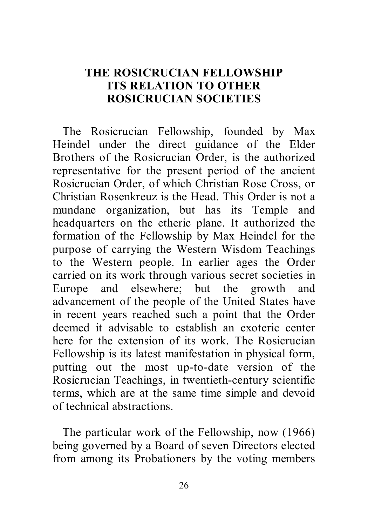## **THE ROSICRUCIAN FELLOWSHIP ITS RELATION TO OTHER ROSICRUCIAN SOCIETIES**

 The Rosicrucian Fellowship, founded by Max Heindel under the direct guidance of the Elder Brothers of the Rosicrucian Order, is the authorized representative for the present period of the ancient Rosicrucian Order, of which Christian Rose Cross, or Christian Rosenkreuz is the Head. This Order is not a mundane organization, but has its Temple and headquarters on the etheric plane. It authorized the formation of the Fellowship by Max Heindel for the purpose of carrying the Western Wisdom Teachings to the Western people. In earlier ages the Order carried on its work through various secret societies in Europe and elsewhere; but the growth and advancement of the people of the United States have in recent years reached such a point that the Order deemed it advisable to establish an exoteric center here for the extension of its work. The Rosicrucian Fellowship is its latest manifestation in physical form, putting out the most up-to-date version of the Rosicrucian Teachings, in twentieth-century scientific terms, which are at the same time simple and devoid of technical abstractions.

 The particular work of the Fellowship, now (1966) being governed by a Board of seven Directors elected from among its Probationers by the voting members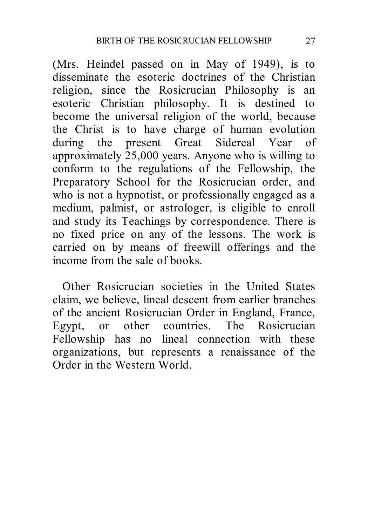(Mrs. Heindel passed on in May of 1949), is to disseminate the esoteric doctrines of the Christian religion, since the Rosicrucian Philosophy is an esoteric Christian philosophy. It is destined to become the universal religion of the world, because the Christ is to have charge of human evolution during the present Great Sidereal Year of approximately 25,000 years. Anyone who is willing to conform to the regulations of the Fellowship, the Preparatory School for the Rosicrucian order, and who is not a hypnotist, or professionally engaged as a medium, palmist, or astrologer, is eligible to enroll and study its Teachings by correspondence. There is no fixed price on any of the lessons. The work is carried on by means of freewill offerings and the income from the sale of books.

 Other Rosicrucian societies in the United States claim, we believe, lineal descent from earlier branches of the ancient Rosicrucian Order in England, France, Egypt, or other countries. The Rosicrucian Fellowship has no lineal connection with these organizations, but represents a renaissance of the Order in the Western World.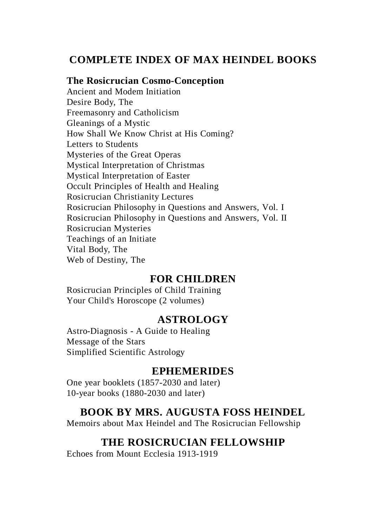## **COMPLETE INDEX OF MAX HEINDEL BOOKS**

#### **The Rosicrucian Cosmo-Conception**

Ancient and Modem Initiation Desire Body, The Freemasonry and Catholicism Gleanings of a Mystic How Shall We Know Christ at His Coming? Letters to Students Mysteries of the Great Operas Mystical Interpretation of Christmas Mystical Interpretation of Easter Occult Principles of Health and Healing Rosicrucian Christianity Lectures Rosicrucian Philosophy in Questions and Answers, Vol. I Rosicrucian Philosophy in Questions and Answers, Vol. II Rosicrucian Mysteries Teachings of an Initiate Vital Body, The Web of Destiny, The

#### **FOR CHILDREN**

Rosicrucian Principles of Child Training Your Child's Horoscope (2 volumes)

#### **ASTROLOGY**

Astro-Diagnosis - A Guide to Healing Message of the Stars Simplified Scientific Astrology

#### **EPHEMERIDES**

One year booklets (1857-2030 and later) 10-year books (1880-2030 and later)

#### **BOOK BY MRS. AUGUSTA FOSS HEINDEL**

Memoirs about Max Heindel and The Rosicrucian Fellowship

#### **THE ROSICRUCIAN FELLOWSHIP**

Echoes from Mount Ecclesia 1913-1919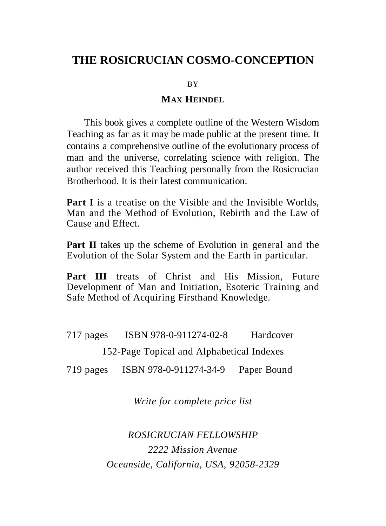## **THE ROSICRUCIAN COSMO-CONCEPTION**

BY

#### **MAX HEINDEL**

 This book gives a complete outline of the Western Wisdom Teaching as far as it may be made public at the present time. It contains a comprehensive outline of the evolutionary process of man and the universe, correlating science with religion. The author received this Teaching personally from the Rosicrucian Brotherhood. It is their latest communication.

**Part I** is a treatise on the Visible and the Invisible Worlds, Man and the Method of Evolution, Rebirth and the Law of Cause and Effect.

**Part II** takes up the scheme of Evolution in general and the Evolution of the Solar System and the Earth in particular.

Part III treats of Christ and His Mission, Future Development of Man and Initiation, Esoteric Training and Safe Method of Acquiring Firsthand Knowledge.

717 pages ISBN 978-0-911274-02-8 Hardcover

152-Page Topical and Alphabetical Indexes

719 pages ISBN 978-0-911274-34-9 Paper Bound

*Write for complete price list*

*ROSICRUCIAN FELLOWSHIP 2222 Mission Avenue Oceanside, California, USA, 92058-2329*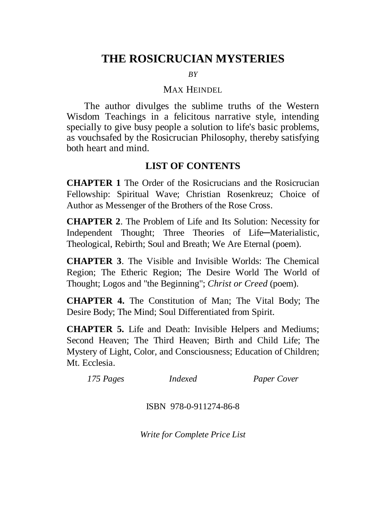## **THE ROSICRUCIAN MYSTERIES**

*BY*

#### MAX HEINDEL

 The author divulges the sublime truths of the Western Wisdom Teachings in a felicitous narrative style, intending specially to give busy people a solution to life's basic problems, as vouchsafed by the Rosicrucian Philosophy, thereby satisfying both heart and mind.

#### **LIST OF CONTENTS**

**CHAPTER 1** The Order of the Rosicrucians and the Rosicrucian Fellowship: Spiritual Wave; Christian Rosenkreuz; Choice of Author as Messenger of the Brothers of the Rose Cross.

**CHAPTER 2**. The Problem of Life and Its Solution: Necessity for Independent Thought; Three Theories of Life-Materialistic, Theological, Rebirth; Soul and Breath; We Are Eternal (poem).

**CHAPTER 3**. The Visible and Invisible Worlds: The Chemical Region; The Etheric Region; The Desire World The World of Thought; Logos and "the Beginning"; *Christ or Creed* (poem).

**CHAPTER 4.** The Constitution of Man; The Vital Body; The Desire Body; The Mind; Soul Differentiated from Spirit.

**CHAPTER 5.** Life and Death: Invisible Helpers and Mediums; Second Heaven; The Third Heaven; Birth and Child Life; The Mystery of Light, Color, and Consciousness; Education of Children; Mt. Ecclesia.

*175 Pages Indexed Paper Cover*

ISBN 978-0-911274-86-8

*Write for Complete Price List*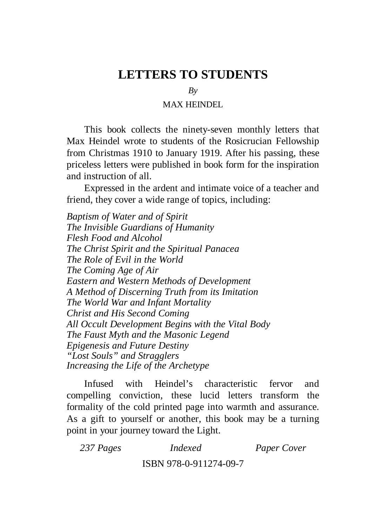## **LETTERS TO STUDENTS**

*By*

#### MAX HEINDEL

 This book collects the ninety-seven monthly letters that Max Heindel wrote to students of the Rosicrucian Fellowship from Christmas 1910 to January 1919. After his passing, these priceless letters were published in book form for the inspiration and instruction of all.

 Expressed in the ardent and intimate voice of a teacher and friend, they cover a wide range of topics, including:

*Baptism of Water and of Spirit The Invisible Guardians of Humanity Flesh Food and Alcohol The Christ Spirit and the Spiritual Panacea The Role of Evil in the World The Coming Age of Air Eastern and Western Methods of Development A Method of Discerning Truth from its Imitation The World War and Infant Mortality Christ and His Second Coming All Occult Development Begins with the Vital Body The Faust Myth and the Masonic Legend Epigenesis and Future Destiny "Lost Souls" and Stragglers Increasing the Life of the Archetype*

 Infused with Heindel's characteristic fervor and compelling conviction, these lucid letters transform the formality of the cold printed page into warmth and assurance. As a gift to yourself or another, this book may be a turning point in your journey toward the Light.

*237 Pages Indexed Paper Cover* ISBN 978-0-911274-09-7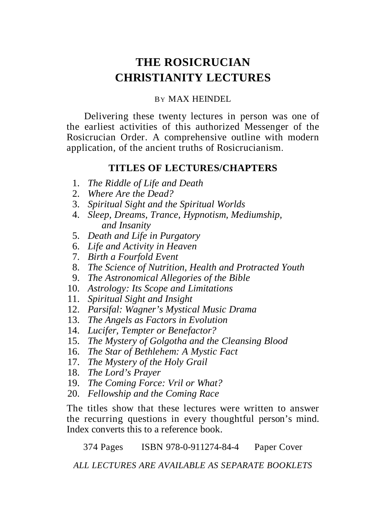# **THE ROSICRUCIAN CHRlSTIANITY LECTURES**

#### BY MAX HEINDEL

 Delivering these twenty lectures in person was one of the earliest activities of this authorized Messenger of the Rosicrucian Order. A comprehensive outline with modern application, of the ancient truths of Rosicrucianism.

#### **TITLES OF LECTURES/CHAPTERS**

- 1. *The Riddle of Life and Death*
- 2. *Where Are the Dead?*
- 3. *Spiritual Sight and the Spiritual Worlds*
- 4. *Sleep, Dreams, Trance, Hypnotism, Mediumship, and Insanity*
- 5. *Death and Life in Purgatory*
- 6. *Life and Activity in Heaven*
- 7. *Birth a Fourfold Event*
- 8. *The Science of Nutrition, Health and Protracted Youth*
- 9. *The Astronomical Allegories of the Bible*
- 10. *Astrology: Its Scope and Limitations*
- 11. *Spiritual Sight and Insight*
- 12. *Parsifal: Wagner's Mystical Music Drama*
- 13. *The Angels as Factors in Evolution*
- 14. *Lucifer, Tempter or Benefactor?*
- 15. *The Mystery of Golgotha and the Cleansing Blood*
- 16. *The Star of Bethlehem: A Mystic Fact*
- 17. *The Mystery of the Holy Grail*
- 18. *The Lord's Prayer*
- 19. *The Coming Force: Vril or What?*
- 20. *Fellowship and the Coming Race*

The titles show that these lectures were written to answer the recurring questions in every thoughtful person's mind. Index converts this to a reference book.

374 Pages ISBN 978-0-911274-84-4 Paper Cover

*ALL LECTURES ARE AVAILABLE AS SEPARATE BOOKLETS*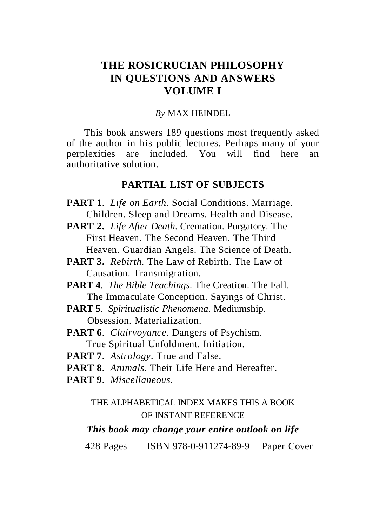## **THE ROSICRUCIAN PHILOSOPHY IN QUESTIONS AND ANSWERS VOLUME I**

#### *By* MAX HEINDEL

 This book answers 189 questions most frequently asked of the author in his public lectures. Perhaps many of your perplexities are included. You will find here an authoritative solution.

#### **PARTIAL LIST OF SUBJECTS**

- **PART 1**. *Life on Earth*. Social Conditions. Marriage. Children. Sleep and Dreams. Health and Disease.
- **PART 2.** *Life After Death*. Cremation. Purgatory. The First Heaven. The Second Heaven. The Third Heaven. Guardian Angels. The Science of Death.
- **PART 3.** *Rebirth.* The Law of Rebirth. The Law of Causation. Transmigration.
- **PART 4**. *The Bible Teachings*. The Creation. The Fall. The Immaculate Conception. Sayings of Christ.
- **PART 5**. *Spiritualistic Phenomena*. Mediumship. Obsession. Materialization.
- **PART 6**. *Clairvoyance*. Dangers of Psychism. True Spiritual Unfoldment. Initiation.
- **PART 7**. *Astrology*. True and False.
- **PART 8**. *Animals.* Their Life Here and Hereafter.
- **PART 9**. *Miscellaneous*.

#### THE ALPHABETICAL INDEX MAKES THIS A BOOK OF INSTANT REFERENCE

#### *This book may change your entire outlook on life*

428 Pages ISBN 978-0-911274-89-9 Paper Cover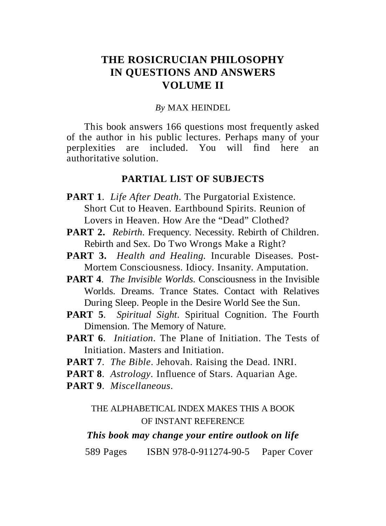## **THE ROSICRUCIAN PHILOSOPHY IN QUESTIONS AND ANSWERS VOLUME II**

#### *By* MAX HEINDEL

 This book answers 166 questions most frequently asked of the author in his public lectures. Perhaps many of your perplexities are included. You will find here an authoritative solution.

#### **PARTIAL LIST OF SUBJECTS**

- **PART 1**. *Life After Death*. The Purgatorial Existence. Short Cut to Heaven. Earthbound Spirits. Reunion of Lovers in Heaven. How Are the "Dead" Clothed?
- **PART 2.** *Rebirth.* Frequency. Necessity. Rebirth of Children. Rebirth and Sex. Do Two Wrongs Make a Right?
- **PART 3.** *Health and Healing.* Incurable Diseases. Post- Mortem Consciousness. Idiocy. Insanity. Amputation.
- **PART 4**. *The Invisible Worlds*. Consciousness in the Invisible Worlds. Dreams. Trance States. Contact with Relatives During Sleep. People in the Desire World See the Sun.
- **PART 5**. *Spiritual Sight*. Spiritual Cognition. The Fourth Dimension. The Memory of Nature.
- **PART 6**. *Initiation*. The Plane of Initiation. The Tests of Initiation. Masters and Initiation.
- **PART 7**. *The Bible*. Jehovah. Raising the Dead. INRI.
- **PART 8**. *Astrology.* Influence of Stars. Aquarian Age.
- **PART 9**. *Miscellaneous*.

#### THE ALPHABETICAL INDEX MAKES THIS A BOOK OF INSTANT REFERENCE

#### *This book may change your entire outlook on life*

589 Pages ISBN 978-0-911274-90-5 Paper Cover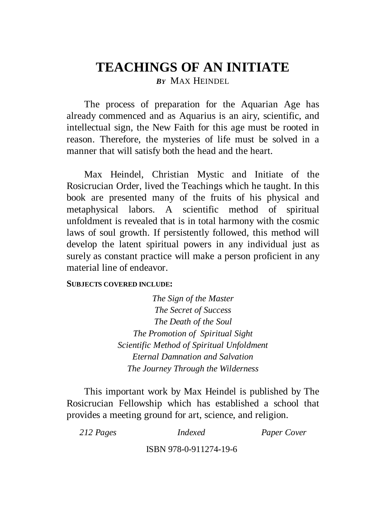## **TEACHINGS OF AN INITIATE** *B<sup>Y</sup>* MAX HEINDEL

 The process of preparation for the Aquarian Age has already commenced and as Aquarius is an airy, scientific, and intellectual sign, the New Faith for this age must be rooted in reason. Therefore, the mysteries of life must be solved in a manner that will satisfy both the head and the heart.

 Max Heindel, Christian Mystic and Initiate of the Rosicrucian Order, lived the Teachings which he taught. In this book are presented many of the fruits of his physical and metaphysical labors. A scientific method of spiritual unfoldment is revealed that is in total harmony with the cosmic laws of soul growth. If persistently followed, this method will develop the latent spiritual powers in any individual just as surely as constant practice will make a person proficient in any material line of endeavor.

#### **SUBJECTS COVERED INCLUDE:**

*The Sign of the Master The Secret of Success The Death of the Soul The Promotion of Spiritual Sight Scientific Method of Spiritual Unfoldment Eternal Damnation and Salvation The Journey Through the Wilderness*

 This important work by Max Heindel is published by The Rosicrucian Fellowship which has established a school that provides a meeting ground for art, science, and religion.

| 212 Pages | Indexed                | <b>Paper Cover</b> |
|-----------|------------------------|--------------------|
|           | ISBN 978-0-911274-19-6 |                    |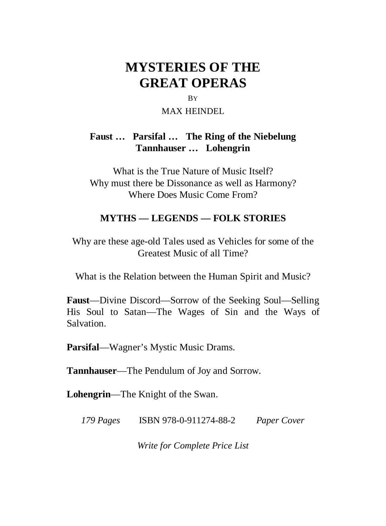# **MYSTERIES OF THE GREAT OPERAS**

#### BY

#### MAX HEINDEL

#### **Faust … Parsifal … The Ring of the Niebelung Tannhauser … Lohengrin**

What is the True Nature of Music Itself? Why must there be Dissonance as well as Harmony? Where Does Music Come From?

#### **MYTHS — LEGENDS — FOLK STORIES**

Why are these age-old Tales used as Vehicles for some of the Greatest Music of all Time?

What is the Relation between the Human Spirit and Music?

**Faust**—Divine Discord—Sorrow of the Seeking Soul—Selling His Soul to Satan—The Wages of Sin and the Ways of Salvation.

**Parsifal**—Wagner's Mystic Music Drams.

**Tannhauser**—The Pendulum of Joy and Sorrow.

**Lohengrin**—The Knight of the Swan.

*179 Pages* ISBN 978-0-911274-88-2 *Paper Cover*

*Write for Complete Price List*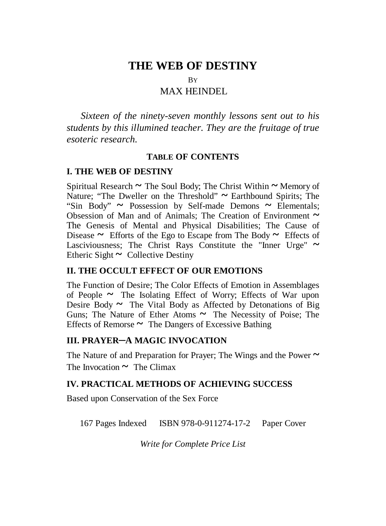## **THE WEB OF DESTINY**

BY

#### MAX HEINDEL

*Sixteen of the ninety-seven monthly lessons sent out to his students by this illumined teacher. They are the fruitage of true esoteric research.*

#### **TABLE OF CONTENTS**

#### **I. THE WEB OF DESTINY**

Spiritual Research **~** The Soul Body; The Christ Within **~** Memory of Nature; "The Dweller on the Threshold" **~** Earthbound Spirits; The "Sin Body" **~** Possession by Self-made Demons **~** Elementals; Obsession of Man and of Animals; The Creation of Environment **~** The Genesis of Mental and Physical Disabilities; The Cause of Disease  $\sim$  Efforts of the Ego to Escape from The Body  $\sim$  Effects of Lasciviousness; The Christ Rays Constitute the "Inner Urge" **~** Etheric Sight **~** Collective Destiny

#### **II. THE OCCULT EFFECT OF OUR EMOTIONS**

The Function of Desire; The Color Effects of Emotion in Assemblages of People **~** The Isolating Effect of Worry; Effects of War upon Desire Body ~ The Vital Body as Affected by Detonations of Big Guns; The Nature of Ether Atoms **~** The Necessity of Poise; The Effects of Remorse **~** The Dangers of Excessive Bathing

#### **III. PRAYER-A MAGIC INVOCATION**

The Nature of and Preparation for Prayer; The Wings and the Power **~** The Invocation  $\sim$  The Climax

#### **IV. PRACTICAL METHODS OF ACHIEVING SUCCESS**

Based upon Conservation of the Sex Force

167 Pages Indexed ISBN 978-0-911274-17-2 Paper Cover

*Write for Complete Price List*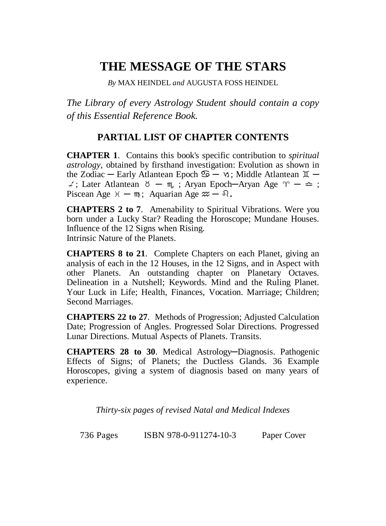## **THE MESSAGE OF THE STARS**

*By* MAX HEINDEL *and* AUGUSTA FOSS HEINDEL

*The Library of every Astrology Student should contain a copy of this Essential Reference Book.*

#### **PARTIAL LIST OF CHAPTER CONTENTS**

**CHAPTER 1**. Contains this book's specific contribution to *spiritual astrology,* obtained by firsthand investigation: Evolution as shown in the Zodiac – Early Atlantean Epoch  $\mathfrak{S}$  –  $\mathfrak{v}$ ; Middle Atlantean  $\mathfrak{X}$  –  $\angle$ ; Later Atlantean  $\delta - m$ , ; Aryan Epoch—Aryan Age  $\gamma$  —  $\triangle$ ; Piscean Age  $\mathcal{H} - \mathfrak{m}$ ; Aquarian Age  $\mathcal{W} - \mathcal{R}$ .

**CHAPTERS 2 to 7**. Amenability to Spiritual Vibrations. Were you born under a Lucky Star? Reading the Horoscope; Mundane Houses. Influence of the 12 Signs when Rising. Intrinsic Nature of the Planets.

**CHAPTERS 8 to 21**. Complete Chapters on each Planet, giving an analysis of each in the 12 Houses, in the 12 Signs, and in Aspect with other Planets. An outstanding chapter on Planetary Octaves. Delineation in a Nutshell; Keywords. Mind and the Ruling Planet. Your Luck in Life; Health, Finances, Vocation. Marriage; Children; Second Marriages.

**CHAPTERS 22 to 27**. Methods of Progression; Adjusted Calculation Date; Progression of Angles. Progressed Solar Directions. Progressed Lunar Directions. Mutual Aspects of Planets. Transits.

**CHAPTERS 28 to 30.** Medical Astrology—Diagnosis. Pathogenic Effects of Signs; of Planets; the Ductless Glands. 36 Example Horoscopes, giving a system of diagnosis based on many years of experience.

*Thirty-six pages of revised Natal and Medical Indexes*

736 Pages ISBN 978-0-911274-10-3 Paper Cover